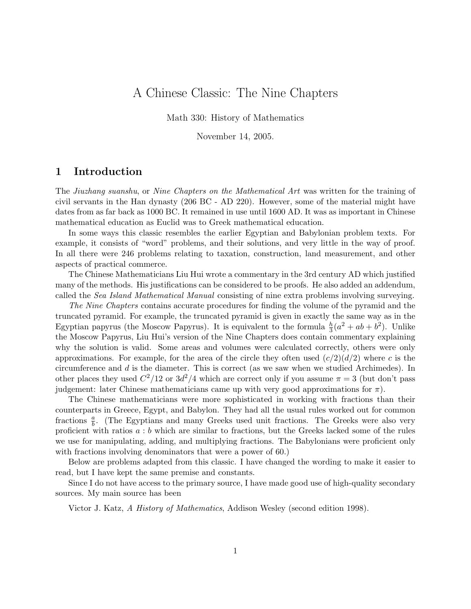# A Chinese Classic: The Nine Chapters

Math 330: History of Mathematics

November 14, 2005.

#### 1 Introduction

The Jiuzhang suanshu, or Nine Chapters on the Mathematical Art was written for the training of civil servants in the Han dynasty (206 BC - AD 220). However, some of the material might have dates from as far back as 1000 BC. It remained in use until 1600 AD. It was as important in Chinese mathematical education as Euclid was to Greek mathematical education.

In some ways this classic resembles the earlier Egyptian and Babylonian problem texts. For example, it consists of "word" problems, and their solutions, and very little in the way of proof. In all there were 246 problems relating to taxation, construction, land measurement, and other aspects of practical commerce.

The Chinese Mathematicians Liu Hui wrote a commentary in the 3rd century AD which justified many of the methods. His justifications can be considered to be proofs. He also added an addendum, called the Sea Island Mathematical Manual consisting of nine extra problems involving surveying.

The Nine Chapters contains accurate procedures for finding the volume of the pyramid and the truncated pyramid. For example, the truncated pyramid is given in exactly the same way as in the Egyptian papyrus (the Moscow Papyrus). It is equivalent to the formula  $\frac{h}{3}(a^2 + ab + b^2)$ . Unlike the Moscow Papyrus, Liu Hui's version of the Nine Chapters does contain commentary explaining why the solution is valid. Some areas and volumes were calculated correctly, others were only approximations. For example, for the area of the circle they often used  $(c/2)(d/2)$  where c is the circumference and  $d$  is the diameter. This is correct (as we saw when we studied Archimedes). In other places they used  $C^2/12$  or  $3d^2/4$  which are correct only if you assume  $\pi = 3$  (but don't pass judgement: later Chinese mathematicians came up with very good approximations for  $\pi$ ).

The Chinese mathematicians were more sophisticated in working with fractions than their counterparts in Greece, Egypt, and Babylon. They had all the usual rules worked out for common fractions  $\frac{a}{b}$ . (The Egyptians and many Greeks used unit fractions. The Greeks were also very proficient with ratios  $a : b$  which are similar to fractions, but the Greeks lacked some of the rules we use for manipulating, adding, and multiplying fractions. The Babylonians were proficient only with fractions involving denominators that were a power of 60.)

Below are problems adapted from this classic. I have changed the wording to make it easier to read, but I have kept the same premise and constants.

Since I do not have access to the primary source, I have made good use of high-quality secondary sources. My main source has been

Victor J. Katz, A History of Mathematics, Addison Wesley (second edition 1998).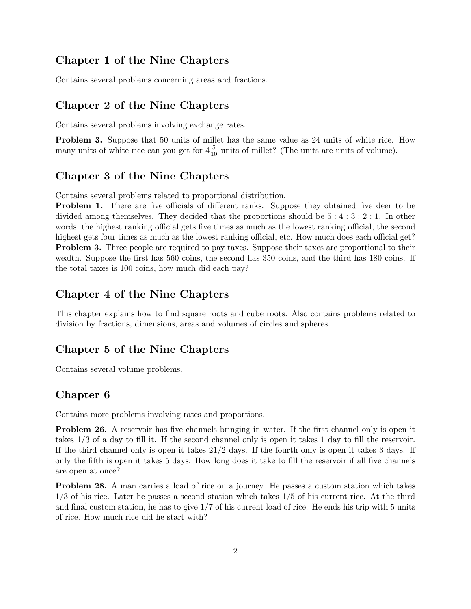## Chapter 1 of the Nine Chapters

Contains several problems concerning areas and fractions.

## Chapter 2 of the Nine Chapters

Contains several problems involving exchange rates.

Problem 3. Suppose that 50 units of millet has the same value as 24 units of white rice. How many units of white rice can you get for  $4\frac{5}{10}$  units of millet? (The units are units of volume).

#### Chapter 3 of the Nine Chapters

Contains several problems related to proportional distribution.

Problem 1. There are five officials of different ranks. Suppose they obtained five deer to be divided among themselves. They decided that the proportions should be 5 : 4 : 3 : 2 : 1. In other words, the highest ranking official gets five times as much as the lowest ranking official, the second highest gets four times as much as the lowest ranking official, etc. How much does each official get? **Problem 3.** Three people are required to pay taxes. Suppose their taxes are proportional to their wealth. Suppose the first has 560 coins, the second has 350 coins, and the third has 180 coins. If the total taxes is 100 coins, how much did each pay?

#### Chapter 4 of the Nine Chapters

This chapter explains how to find square roots and cube roots. Also contains problems related to division by fractions, dimensions, areas and volumes of circles and spheres.

#### Chapter 5 of the Nine Chapters

Contains several volume problems.

### Chapter 6

Contains more problems involving rates and proportions.

Problem 26. A reservoir has five channels bringing in water. If the first channel only is open it takes 1/3 of a day to fill it. If the second channel only is open it takes 1 day to fill the reservoir. If the third channel only is open it takes  $21/2$  days. If the fourth only is open it takes 3 days. If only the fifth is open it takes 5 days. How long does it take to fill the reservoir if all five channels are open at once?

Problem 28. A man carries a load of rice on a journey. He passes a custom station which takes 1/3 of his rice. Later he passes a second station which takes 1/5 of his current rice. At the third and final custom station, he has to give 1/7 of his current load of rice. He ends his trip with 5 units of rice. How much rice did he start with?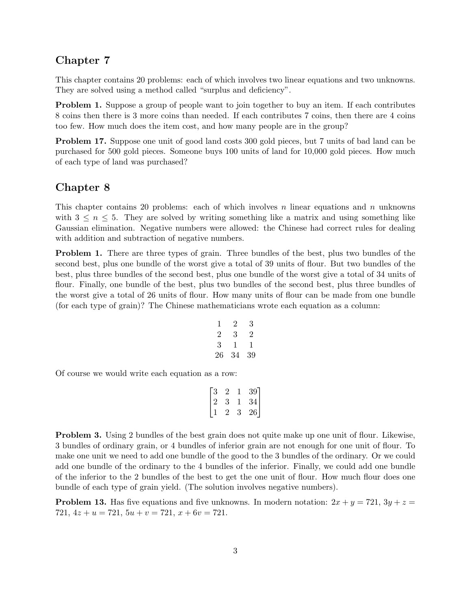## Chapter 7

This chapter contains 20 problems: each of which involves two linear equations and two unknowns. They are solved using a method called "surplus and deficiency".

Problem 1. Suppose a group of people want to join together to buy an item. If each contributes 8 coins then there is 3 more coins than needed. If each contributes 7 coins, then there are 4 coins too few. How much does the item cost, and how many people are in the group?

Problem 17. Suppose one unit of good land costs 300 gold pieces, but 7 units of bad land can be purchased for 500 gold pieces. Someone buys 100 units of land for 10,000 gold pieces. How much of each type of land was purchased?

## Chapter 8

This chapter contains 20 problems: each of which involves  $n$  linear equations and  $n$  unknowns with  $3 \leq n \leq 5$ . They are solved by writing something like a matrix and using something like Gaussian elimination. Negative numbers were allowed: the Chinese had correct rules for dealing with addition and subtraction of negative numbers.

Problem 1. There are three types of grain. Three bundles of the best, plus two bundles of the second best, plus one bundle of the worst give a total of 39 units of flour. But two bundles of the best, plus three bundles of the second best, plus one bundle of the worst give a total of 34 units of flour. Finally, one bundle of the best, plus two bundles of the second best, plus three bundles of the worst give a total of 26 units of flour. How many units of flour can be made from one bundle (for each type of grain)? The Chinese mathematicians wrote each equation as a column:

$$
\begin{array}{ccccc}\n1 & 2 & 3 \\
2 & 3 & 2 \\
3 & 1 & 1 \\
26 & 34 & 39\n\end{array}
$$

Of course we would write each equation as a row:

$$
\begin{bmatrix} 3 & 2 & 1 & 39 \\ 2 & 3 & 1 & 34 \\ 1 & 2 & 3 & 26 \end{bmatrix}
$$

**Problem 3.** Using 2 bundles of the best grain does not quite make up one unit of flour. Likewise, 3 bundles of ordinary grain, or 4 bundles of inferior grain are not enough for one unit of flour. To make one unit we need to add one bundle of the good to the 3 bundles of the ordinary. Or we could add one bundle of the ordinary to the 4 bundles of the inferior. Finally, we could add one bundle of the inferior to the 2 bundles of the best to get the one unit of flour. How much flour does one bundle of each type of grain yield. (The solution involves negative numbers).

**Problem 13.** Has five equations and five unknowns. In modern notation:  $2x + y = 721$ ,  $3y + z =$ 721,  $4z + u = 721$ ,  $5u + v = 721$ ,  $x + 6v = 721$ .